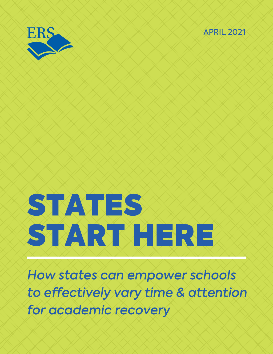



# STATES START HERE

How states can empower schools to effectively vary time & attention for academic recovery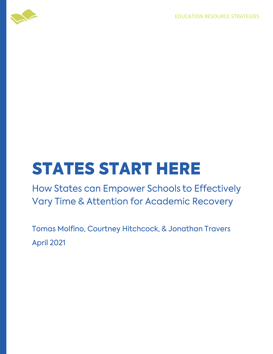EDUCATION RESOURCE STRATEGIES



## **STATES START HERE**

How States can Empower Schools to Effectively Vary Time & Attention for Academic Recovery

Tomas Molfino, Courtney Hitchcock, & Jonathan Travers **April 2021**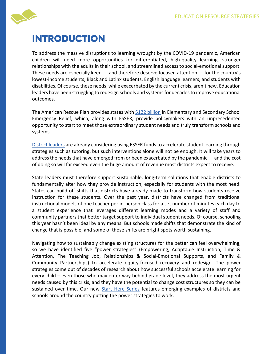

#### **INTRODUCTION**

To address the massive disruptions to learning wrought by the COVID-19 pandemic, American children will need more opportunities for differentiated, high-quality learning, stronger relationships with the adults in their school, and streamlined access to social-emotional support. These needs are especially keen  $-$  and therefore deserve focused attention  $-$  for the country's lowest-income students, Black and Latinx students, English language learners, and students with disabilities. Of course, these needs, while exacerbated by the current crisis, aren't new. Education leaders have been struggling to redesign schools and systems for decades to improve educational outcomes.

The American Rescue Plan provides states with [\\$122 billion](https://www.ed.gov/news/press-releases/department-education-announces-american-rescue-plan-funds-all-50-states-puerto-rico-and-district-columbia-help-schools-reopen) in Elementary and Secondary School Emergency Relief, which, along with ESSER, provide policymakers with an unprecedented opportunity to start to meet those extraordinary student needs and truly transform schools and systems.

[District leaders](https://www.npr.org/2021/03/16/977929029/tulsa-okla-schools-plan-to-use-latest-stimulus-to-expand-learning-opportunities) are already considering using ESSER funds to accelerate student learning through strategies such as tutoring, but such interventions alone will not be enough. It will take years to address the needs that have emerged from or been exacerbated by the pandemic — and the cost of doing so will far exceed even the huge amount of revenue most districts expect to receive.

State leaders must therefore support sustainable, long-term solutions that enable districts to fundamentally alter how they provide instruction, especially for students with the most need. States can build off shifts that districts have already made to transform how students receive instruction for these students. Over the past year, districts have changed from traditional instructional models of one teacher per in-person class for a set number of minutes each day to a student experience that leverages different learning modes and a variety of staff and community partners that better target support to individual student needs. Of course, schooling this year hasn't been ideal by any means. But schools made shifts that demonstrate the kind of change that is possible, and some of those shifts are bright spots worth sustaining.

Navigating how to sustainably change existing structures for the better can feel overwhelming, so we have identified five "power strategies" (Empowering, Adaptable Instruction, Time & Attention, The Teaching Job, Relationships & Social-Emotional Supports, and Family & Community Partnerships) to accelerate equity-focused recovery and redesign. The power strategies come out of decades of research about how successful schools accelerate learning for every child – even those who may enter way behind grade level, they address the most urgent needs caused by this crisis, and they have the potential to change cost structures so they can be sustained over time. Our new [Start Here Series](https://www.erstrategies.org/tap/start_here) features emerging examples of districts and schools around the country putting the power strategies to work.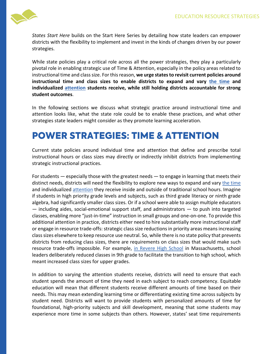

*States Start Here* builds on the Start Here Series by detailing how state leaders can empower districts with the flexibility to implement and invest in the kinds of changes driven by our power strategies.

While state policies play a critical role across all the power strategies, they play a particularly pivotal role in enabling strategic use of Time & Attention, especially in the policy areas related to instructional time and class size. For this reason, **we urge states to revisit current policies around instructional time and class sizes to enable districts to expand and vary [the time](https://eric.ed.gov/?id=ED534894) and individualized [attention](https://nepc.colorado.edu/publication/does-class-size-matter) students receive, while still holding districts accountable for strong student outcomes**.

In the following sections we discuss what strategic practice around instructional time and attention looks like, what the state role could be to enable these practices, and what other strategies state leaders might consider as they promote learning acceleration.

#### **POWER STRATEGIES: TIME & ATTENTION**

Current state policies around individual time and attention that define and prescribe total instructional hours or class sizes may directly or indirectly inhibit districts from implementing strategic instructional practices.

For students — especially those with the greatest needs — to engage in learning that meets their distinct needs, districts will need the flexibility to explore new ways to expand and vary [the time](https://eric.ed.gov/?id=ED534894) and individualized [attention](https://nepc.colorado.edu/publication/does-class-size-matter) they receive inside and outside of traditional school hours. Imagine if students in high priority grade levels and subjects, such as third grade literacy or ninth grade algebra, had significantly smaller class sizes. Or if a school were able to assign multiple educators  $-$  including aides, social-emotional support staff, and administrators  $-$  to push into targeted classes, enabling more "just-in-time" instruction in small groups and one-on-one. To provide this additional attention in practice, districts either need to hire substantially more instructional staff or engage in resource trade-offs: strategic class size reductions in priority areas means increasing class sizes elsewhere to keep resource use neutral. So, while there is no state policy that prevents districts from reducing class sizes, there are requirements on class sizes that would make such resource trade-offs impossible. For example, [in Revere High School](https://www.erstrategies.org/news/progress_for_revere_ninth_graders) in Massachusetts, school leaders deliberately reduced classes in 9th grade to facilitate the transition to high school, which meant increased class sizes for upper grades.

In addition to varying the attention students receive, districts will need to ensure that each student spends the amount of time they need in each subject to reach competency. Equitable education will mean that different students receive different amounts of time based on their needs. This may mean extending learning time or differentiating existing time across subjects by student need. Districts will want to provide students with personalized amounts of time for foundational, high-priority subjects and skill development, meaning that some students may experience more time in some subjects than others. However, states' seat time requirements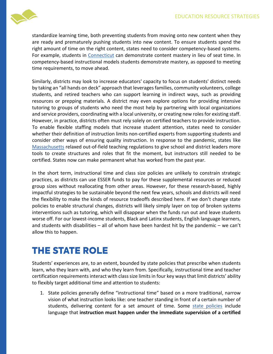

standardize learning time, both preventing students from moving onto new content when they are ready and prematurely pushing students into new content. To ensure students spend the right amount of time on the right content, states need to consider competency-based systems. For example, students in [Connecticut](https://portal.ct.gov/SDE/Mastery-Based-Learning/Guidelines-for-Implementing-Mastery-Based-Learning) can demonstrate content mastery in lieu of seat time. In competency-based instructional models students demonstrate mastery, as opposed to meeting time requirements, to move ahead.

Similarly, districts may look to increase educators' capacity to focus on students' distinct needs by taking an "all hands on deck" approach that leverages families, community volunteers, college students, and retired teachers who can support learning in indirect ways, such as providing resources or prepping materials. A district may even explore options for providing intensive tutoring to groups of students who need the most help by partnering with local organizations and service providers, coordinating with a local university, or creating new roles for existing staff. However, in practice, districts often must rely solely on certified teachers to provide instruction. To enable flexible staffing models that increase student attention, states need to consider whether their definition of instruction limits non-certified experts from supporting students and consider other ways of ensuring quality instruction. In response to the pandemic, states like [Massachusetts](https://www.doe.mass.edu/news/news.aspx?id=26200) relaxed out-of-field teaching regulations to give school and district leaders more tools to create structures and roles that fit the moment, but instructors still needed to be certified. States now can make permanent what has worked from the past year.

In the short term, instructional time and class size policies are unlikely to constrain strategic practices, as districts can use ESSER funds to pay for these supplemental resources or reduced group sizes without reallocating from other areas. However, for these research-based, highly impactful strategies to be sustainable beyond the next few years, schools and districts will need the flexibility to make the kinds of resource tradeoffs described here. If we don't change state policies to enable structural changes, districts will likely simply layer on top of broken systems interventions such as tutoring, which will disappear when the funds run out and leave students worse off. For our lowest-income students, Black and Latinx students, English language learners, and students with disabilities – all of whom have been hardest hit by the pandemic – we can't allow this to happen.

#### **THE STATE ROLE**

Students' experiences are, to an extent, bounded by state policies that prescribe when students learn, who they learn with, and who they learn from. Specifically, instructional time and teacher certification requirements interact with class size limits in four key ways that limit districts' ability to flexibly target additional time and attention to students:

1. State policies generally define "instructional time" based on a more traditional, narrow vision of what instruction looks like: one teacher standing in front of a certain number of students, delivering content for a set amount of time. Some [state policies](https://excelined.org/2018/11/27/transitioning-to-student-centered-learning-moving-beyond-seat-time/) include language that **instruction must happen under the immediate supervision of a certified**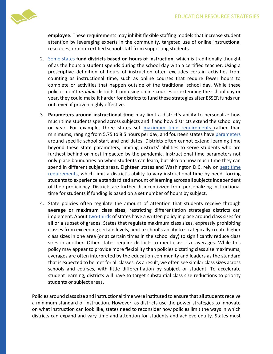

**employee.** These requirements may inhibit flexible staffing models that increase student attention by leveraging experts in the community, targeted use of online instructional resources, or non-certified school staff from supporting students.

- 2. [Some states](https://excelined.org/2018/11/27/transitioning-to-student-centered-learning-moving-beyond-seat-time/) **fund districts based on hours of instruction**, which is traditionally thought of as the hours a student spends during the school day with a certified teacher. Using a prescriptive definition of hours of instruction often excludes certain activities from counting as instructional time, such as online courses that require fewer hours to complete or activities that happen outside of the traditional school day. While these policies don't *prohibit* districts from using online courses or extending the school day or year, they could make it harder for districts to fund these strategies after ESSER funds run out, even if proven highly effective.
- 3. **Parameters around instructional time** may limit a district's ability to personalize how much time students spend across subjects and if and how districts extend the school day or year. For example, three states set [maximum time requirements r](https://internal-search.ecs.org/comparisons/instructional-time-policies-02?sort=1294)ather than minimums, ranging from 5.75 to 8.5 hours per day, and fourteen states have [parameters](https://internal-search.ecs.org/comparisons/instructional-time-policies-03?sort=1295) around specific school start and end dates. Districts often cannot extend learning time beyond these state parameters, limiting districts' abilities to serve students who are furthest behind or most impacted by the pandemic. Instructional time parameters not only place boundaries on when students can learn, but also on how much time they can spend in different subject areas. Eighteen states and Washington D.C. rely on seat time [requirements](https://excelined.org/wp-content/uploads/2019/11/ExcelinEd.Innovation.NextGenerationLearning.SeatTimeReport.pdf), which limit a district's ability to vary instructional time by need, forcing students to experience a standardized amount of learning across all subjects independent of their proficiency. Districts are further disincentivized from personalizing instructional time for students if funding is based on a set number of hours by subject.
- 4. State policies often regulate the amount of attention that students receive through **average or maximum class sizes**, restricting differentiation strategies districts can implement. About [two-thirds](https://www.nctq.org/contract-database/stateReport.) of states have a written policy in place around class sizes for all or a subset of grades. States that regulate maximum class sizes, expressly prohibiting classes from exceeding certain levels, limit a school's ability to strategically create higher class sizes in one area (or at certain times in the school day) to significantly reduce class sizes in another. Other states require districts to meet class size averages. While this policy may appear to provide more flexibility than policies dictating class size maximums, averages are often interpreted by the education community and leaders as the standard that is expected to be met for all classes. As a result, we often see similar class sizes across schools and courses, with little differentiation by subject or student. To accelerate student learning, districts will have to target substantial class size reductions to priority students or subject areas.

Policies around class size and instructional time were instituted to ensure that all students receive a minimum standard of instruction. However, as districts use the power strategies to innovate on what instruction can look like, states need to reconsider how policies limit the ways in which districts can expand and vary time and attention for students and achieve equity. States must